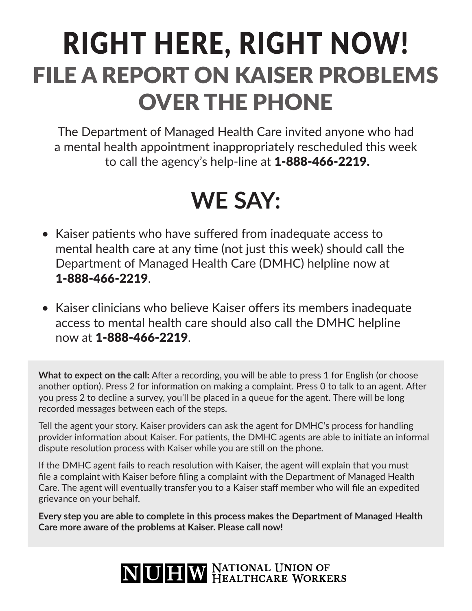# RIGHT HERE, RIGHT NOW! FILE A REPORT ON KAISER PROBLEMS OVER THE PHONE

The Department of Managed Health Care invited anyone who had a mental health appointment inappropriately rescheduled this week to call the agency's help-line at 1-888-466-2219.

### **WE SAY:**

- Kaiser patients who have suffered from inadequate access to mental health care at any time (not just this week) should call the Department of Managed Health Care (DMHC) helpline now at 1-888-466-2219.
- Kaiser clinicians who believe Kaiser offers its members inadequate access to mental health care should also call the DMHC helpline now at 1-888-466-2219.

What to expect on the call: After a recording, you will be able to press 1 for English (or choose another option). Press 2 for information on making a complaint. Press 0 to talk to an agent. After you press 2 to decline a survey, you'll be placed in a queue for the agent. There will be long recorded messages between each of the steps.

Tell the agent your story. Kaiser providers can ask the agent for DMHC's process for handling provider information about Kaiser. For patients, the DMHC agents are able to initiate an informal dispute resolution process with Kaiser while you are still on the phone.

If the DMHC agent fails to reach resoluton with Kaiser, the agent will explain that you must fle a complaint with Kaiser before fling a complaint with the Department of Managed Health Care. The agent will eventually transfer you to a Kaiser staff member who will file an expedited grievance on your behalf.

**Every step you are able to complete in this process makes the Department of Managed Health Care more aware of the problems at Kaiser. Please call now!**

## NUHW NATIONAL UNION OF HEALTHCARE WORKERS